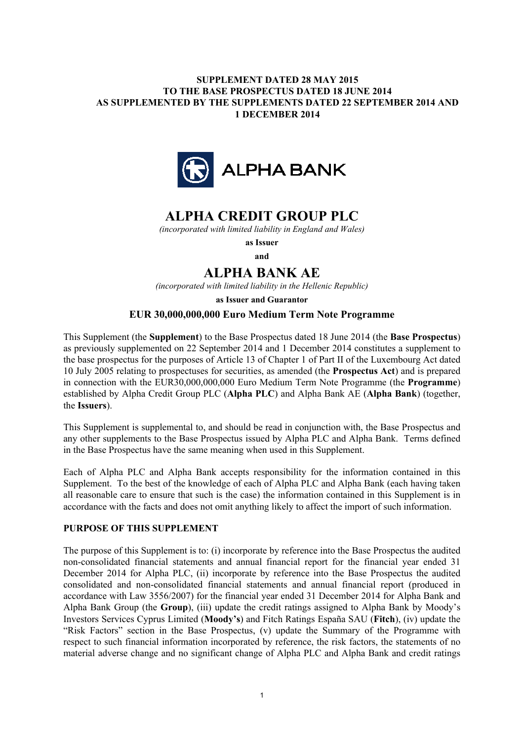# **SUPPLEMENT DATED 28 MAY 2015 TO THE BASE PROSPECTUS DATED 18 JUNE 2014 AS SUPPLEMENTED BY THE SUPPLEMENTS DATED 22 SEPTEMBER 2014 AND 1 DECEMBER 2014**



# **ALPHA CREDIT GROUP PLC**

*(incorporated with limited liability in England and Wales)*

**as Issuer and**

# **ALPHA BANK AE**

*(incorporated with limited liability in the Hellenic Republic)*

**as Issuer and Guarantor**

# **EUR 30,000,000,000 Euro Medium Term Note Programme**

This Supplement (the **Supplement**) to the Base Prospectus dated 18 June 2014 (the **Base Prospectus**) as previously supplemented on 22 September 2014 and 1 December 2014 constitutes a supplement to the base prospectus for the purposes of Article 13 of Chapter 1 of Part II of the Luxembourg Act dated 10 July 2005 relating to prospectuses for securities, as amended (the **Prospectus Act**) and is prepared in connection with the EUR30,000,000,000 Euro Medium Term Note Programme (the **Programme**) established by Alpha Credit Group PLC (**Alpha PLC**) and Alpha Bank AE (**Alpha Bank**) (together, the **Issuers**).

This Supplement is supplemental to, and should be read in conjunction with, the Base Prospectus and any other supplements to the Base Prospectus issued by Alpha PLC and Alpha Bank. Terms defined in the Base Prospectus have the same meaning when used in this Supplement.

Each of Alpha PLC and Alpha Bank accepts responsibility for the information contained in this Supplement. To the best of the knowledge of each of Alpha PLC and Alpha Bank (each having taken all reasonable care to ensure that such is the case) the information contained in this Supplement is in accordance with the facts and does not omit anything likely to affect the import of such information.

# **PURPOSE OF THIS SUPPLEMENT**

The purpose of this Supplement is to: (i) incorporate by reference into the Base Prospectus the audited non-consolidated financial statements and annual financial report for the financial year ended 31 December 2014 for Alpha PLC, (ii) incorporate by reference into the Base Prospectus the audited consolidated and non-consolidated financial statements and annual financial report (produced in accordance with Law 3556/2007) for the financial year ended 31 December 2014 for Alpha Bank and Alpha Bank Group (the **Group**), (iii) update the credit ratings assigned to Alpha Bank by Moody's Investors Services Cyprus Limited (**Moody's**) and Fitch Ratings España SAU (**Fitch**), (iv) update the "Risk Factors" section in the Base Prospectus, (v) update the Summary of the Programme with respect to such financial information incorporated by reference, the risk factors, the statements of no material adverse change and no significant change of Alpha PLC and Alpha Bank and credit ratings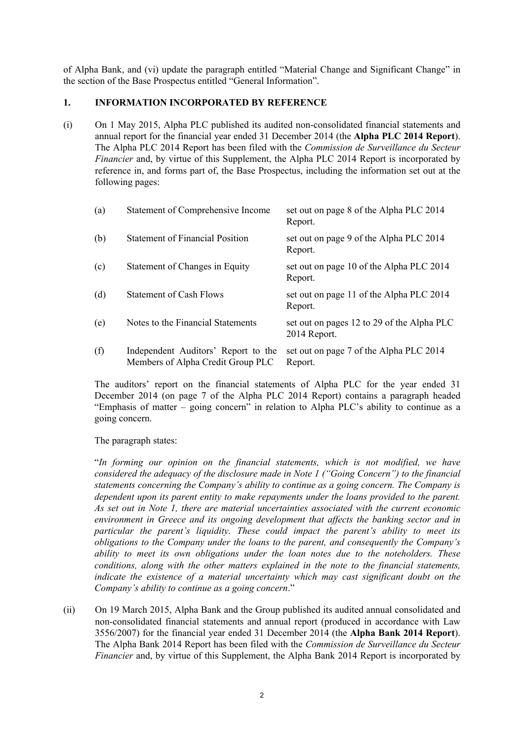of Alpha Bank, and (vi) update the paragraph entitled "Material Change and Significant Change" in the section of the Base Prospectus entitled "General Information".

# **1. INFORMATION INCORPORATED BY REFERENCE**

(i) On 1 May 2015, Alpha PLC published its audited non-consolidated financial statements and annual report for the financial year ended 31 December 2014 (the **Alpha PLC 2014 Report**). The Alpha PLC 2014 Report has been filed with the *Commission de Surveillance du Secteur Financier* and, by virtue of this Supplement, the Alpha PLC 2014 Report is incorporated by reference in, and forms part of, the Base Prospectus, including the information set out at the following pages:

| (a) | Statement of Comprehensive Income                                        | set out on page 8 of the Alpha PLC 2014<br>Report.         |
|-----|--------------------------------------------------------------------------|------------------------------------------------------------|
| (b) | <b>Statement of Financial Position</b>                                   | set out on page 9 of the Alpha PLC 2014<br>Report.         |
| (c) | Statement of Changes in Equity                                           | set out on page 10 of the Alpha PLC 2014<br>Report.        |
| (d) | <b>Statement of Cash Flows</b>                                           | set out on page 11 of the Alpha PLC 2014<br>Report.        |
| (e) | Notes to the Financial Statements                                        | set out on pages 12 to 29 of the Alpha PLC<br>2014 Report. |
| (f) | Independent Auditors' Report to the<br>Members of Alpha Credit Group PLC | set out on page 7 of the Alpha PLC 2014<br>Report.         |

The auditors' report on the financial statements of Alpha PLC for the year ended 31 December 2014 (on page 7 of the Alpha PLC 2014 Report) contains a paragraph headed "Emphasis of matter – going concern" in relation to Alpha PLC's ability to continue as a going concern.

The paragraph states:

"*In forming our opinion on the financial statements, which is not modified, we have considered the adequacy of the disclosure made in Note 1 ("Going Concern") to the financial statements concerning the Company's ability to continue as a going concern. The Company is dependent upon its parent entity to make repayments under the loans provided to the parent. As set out in Note 1, there are material uncertainties associated with the current economic environment in Greece and its ongoing development that affects the banking sector and in particular the parent's liquidity. These could impact the parent's ability to meet its obligations to the Company under the loans to the parent, and consequently the Company's ability to meet its own obligations under the loan notes due to the noteholders. These conditions, along with the other matters explained in the note to the financial statements, indicate the existence of a material uncertainty which may cast significant doubt on the Company's ability to continue as a going concern*."

(ii) On 19 March 2015, Alpha Bank and the Group published its audited annual consolidated and non-consolidated financial statements and annual report (produced in accordance with Law 3556/2007) for the financial year ended 31 December 2014 (the **Alpha Bank 2014 Report**). The Alpha Bank 2014 Report has been filed with the *Commission de Surveillance du Secteur Financier* and, by virtue of this Supplement, the Alpha Bank 2014 Report is incorporated by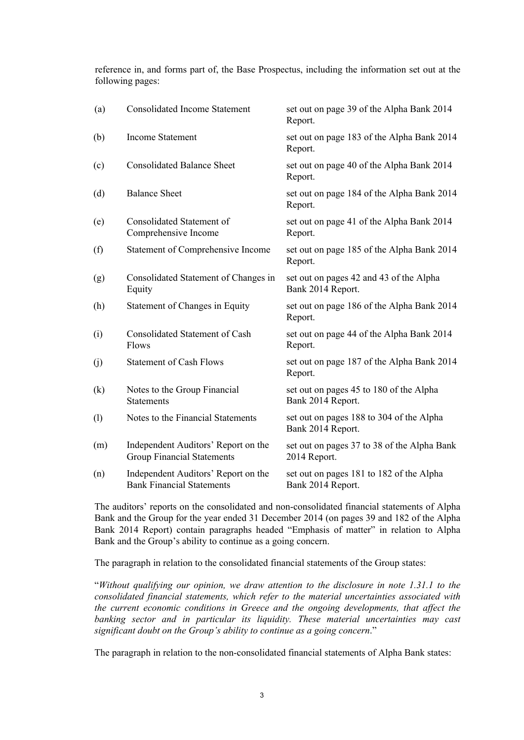reference in, and forms part of, the Base Prospectus, including the information set out at the following pages:

| (a) | <b>Consolidated Income Statement</b>                                     | set out on page 39 of the Alpha Bank 2014<br>Report.          |
|-----|--------------------------------------------------------------------------|---------------------------------------------------------------|
| (b) | <b>Income Statement</b>                                                  | set out on page 183 of the Alpha Bank 2014<br>Report.         |
| (c) | <b>Consolidated Balance Sheet</b>                                        | set out on page 40 of the Alpha Bank 2014<br>Report.          |
| (d) | <b>Balance Sheet</b>                                                     | set out on page 184 of the Alpha Bank 2014<br>Report.         |
| (e) | Consolidated Statement of<br>Comprehensive Income                        | set out on page 41 of the Alpha Bank 2014<br>Report.          |
| (f) | Statement of Comprehensive Income                                        | set out on page 185 of the Alpha Bank 2014<br>Report.         |
| (g) | Consolidated Statement of Changes in<br>Equity                           | set out on pages 42 and 43 of the Alpha<br>Bank 2014 Report.  |
| (h) | Statement of Changes in Equity                                           | set out on page 186 of the Alpha Bank 2014<br>Report.         |
| (i) | <b>Consolidated Statement of Cash</b><br>Flows                           | set out on page 44 of the Alpha Bank 2014<br>Report.          |
| (j) | <b>Statement of Cash Flows</b>                                           | set out on page 187 of the Alpha Bank 2014<br>Report.         |
| (k) | Notes to the Group Financial<br><b>Statements</b>                        | set out on pages 45 to 180 of the Alpha<br>Bank 2014 Report.  |
| (1) | Notes to the Financial Statements                                        | set out on pages 188 to 304 of the Alpha<br>Bank 2014 Report. |
| (m) | Independent Auditors' Report on the<br><b>Group Financial Statements</b> | set out on pages 37 to 38 of the Alpha Bank<br>2014 Report.   |
| (n) | Independent Auditors' Report on the<br><b>Bank Financial Statements</b>  | set out on pages 181 to 182 of the Alpha<br>Bank 2014 Report. |

The auditors' reports on the consolidated and non-consolidated financial statements of Alpha Bank and the Group for the year ended 31 December 2014 (on pages 39 and 182 of the Alpha Bank 2014 Report) contain paragraphs headed "Emphasis of matter" in relation to Alpha Bank and the Group's ability to continue as a going concern.

The paragraph in relation to the consolidated financial statements of the Group states:

"*Without qualifying our opinion, we draw attention to the disclosure in note 1.31.1 to the consolidated financial statements, which refer to the material uncertainties associated with the current economic conditions in Greece and the ongoing developments, that affect the banking sector and in particular its liquidity. These material uncertainties may cast significant doubt on the Group's ability to continue as a going concern*."

The paragraph in relation to the non-consolidated financial statements of Alpha Bank states: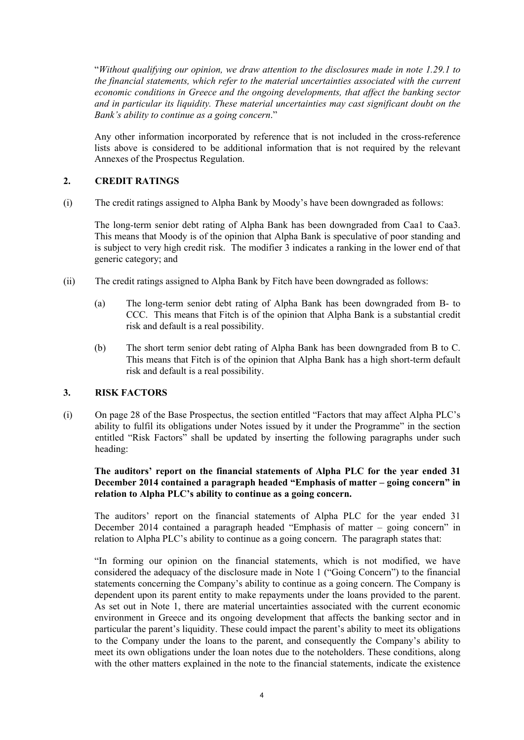"*Without qualifying our opinion, we draw attention to the disclosures made in note 1.29.1 to the financial statements, which refer to the material uncertainties associated with the current economic conditions in Greece and the ongoing developments, that affect the banking sector and in particular its liquidity. These material uncertainties may cast significant doubt on the Bank's ability to continue as a going concern*."

Any other information incorporated by reference that is not included in the cross-reference lists above is considered to be additional information that is not required by the relevant Annexes of the Prospectus Regulation.

# **2. CREDIT RATINGS**

(i) The credit ratings assigned to Alpha Bank by Moody's have been downgraded as follows:

The long-term senior debt rating of Alpha Bank has been downgraded from Caa1 to Caa3. This means that Moody is of the opinion that Alpha Bank is speculative of poor standing and is subject to very high credit risk. The modifier 3 indicates a ranking in the lower end of that generic category; and

- (ii) The credit ratings assigned to Alpha Bank by Fitch have been downgraded as follows:
	- (a) The long-term senior debt rating of Alpha Bank has been downgraded from B- to CCC. This means that Fitch is of the opinion that Alpha Bank is a substantial credit risk and default is a real possibility.
	- (b) The short term senior debt rating of Alpha Bank has been downgraded from B to C. This means that Fitch is of the opinion that Alpha Bank has a high short-term default risk and default is a real possibility.

# **3. RISK FACTORS**

(i) On page 28 of the Base Prospectus, the section entitled "Factors that may affect Alpha PLC's ability to fulfil its obligations under Notes issued by it under the Programme" in the section entitled "Risk Factors" shall be updated by inserting the following paragraphs under such heading:

**The auditors' report on the financial statements of Alpha PLC for the year ended 31 December 2014 contained a paragraph headed "Emphasis of matter – going concern" in relation to Alpha PLC's ability to continue as a going concern.**

The auditors' report on the financial statements of Alpha PLC for the year ended 31 December 2014 contained a paragraph headed "Emphasis of matter – going concern" in relation to Alpha PLC's ability to continue as a going concern. The paragraph states that:

"In forming our opinion on the financial statements, which is not modified, we have considered the adequacy of the disclosure made in Note 1 ("Going Concern") to the financial statements concerning the Company's ability to continue as a going concern. The Company is dependent upon its parent entity to make repayments under the loans provided to the parent. As set out in Note 1, there are material uncertainties associated with the current economic environment in Greece and its ongoing development that affects the banking sector and in particular the parent's liquidity. These could impact the parent's ability to meet its obligations to the Company under the loans to the parent, and consequently the Company's ability to meet its own obligations under the loan notes due to the noteholders. These conditions, along with the other matters explained in the note to the financial statements, indicate the existence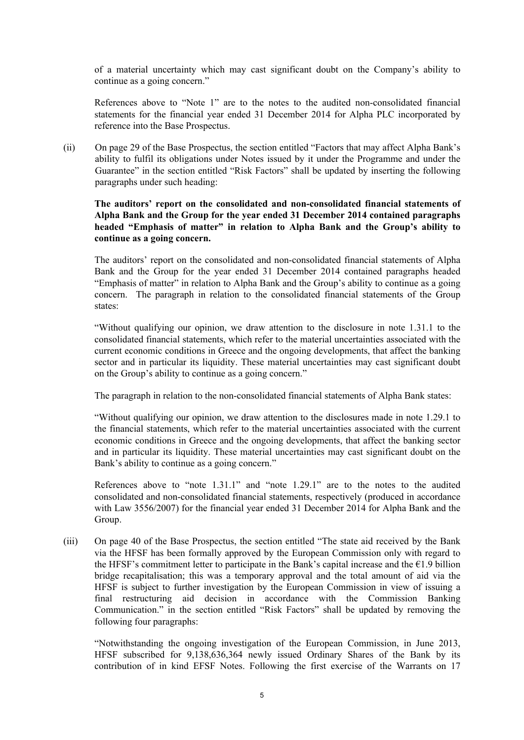of a material uncertainty which may cast significant doubt on the Company's ability to continue as a going concern."

References above to "Note 1" are to the notes to the audited non-consolidated financial statements for the financial year ended 31 December 2014 for Alpha PLC incorporated by reference into the Base Prospectus.

(ii) On page 29 of the Base Prospectus, the section entitled "Factors that may affect Alpha Bank's ability to fulfil its obligations under Notes issued by it under the Programme and under the Guarantee" in the section entitled "Risk Factors" shall be updated by inserting the following paragraphs under such heading:

# **The auditors' report on the consolidated and non-consolidated financial statements of Alpha Bank and the Group for the year ended 31 December 2014 contained paragraphs headed "Emphasis of matter" in relation to Alpha Bank and the Group's ability to continue as a going concern.**

The auditors' report on the consolidated and non-consolidated financial statements of Alpha Bank and the Group for the year ended 31 December 2014 contained paragraphs headed "Emphasis of matter" in relation to Alpha Bank and the Group's ability to continue as a going concern. The paragraph in relation to the consolidated financial statements of the Group states:

"Without qualifying our opinion, we draw attention to the disclosure in note 1.31.1 to the consolidated financial statements, which refer to the material uncertainties associated with the current economic conditions in Greece and the ongoing developments, that affect the banking sector and in particular its liquidity. These material uncertainties may cast significant doubt on the Group's ability to continue as a going concern."

The paragraph in relation to the non-consolidated financial statements of Alpha Bank states:

"Without qualifying our opinion, we draw attention to the disclosures made in note 1.29.1 to the financial statements, which refer to the material uncertainties associated with the current economic conditions in Greece and the ongoing developments, that affect the banking sector and in particular its liquidity. These material uncertainties may cast significant doubt on the Bank's ability to continue as a going concern."

References above to "note 1.31.1" and "note 1.29.1" are to the notes to the audited consolidated and non-consolidated financial statements, respectively (produced in accordance with Law 3556/2007) for the financial year ended 31 December 2014 for Alpha Bank and the Group.

(iii) On page 40 of the Base Prospectus, the section entitled "The state aid received by the Bank via the HFSF has been formally approved by the European Commission only with regard to the HFSF's commitment letter to participate in the Bank's capital increase and the  $E1.9$  billion bridge recapitalisation; this was a temporary approval and the total amount of aid via the HFSF is subject to further investigation by the European Commission in view of issuing a final restructuring aid decision in accordance with the Commission Banking Communication." in the section entitled "Risk Factors" shall be updated by removing the following four paragraphs:

"Notwithstanding the ongoing investigation of the European Commission, in June 2013, HFSF subscribed for 9,138,636,364 newly issued Ordinary Shares of the Bank by its contribution of in kind EFSF Notes. Following the first exercise of the Warrants on 17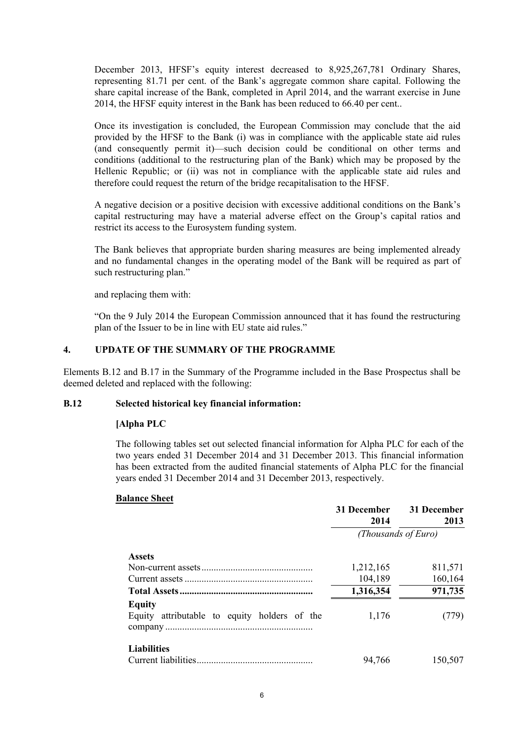December 2013, HFSF's equity interest decreased to 8,925,267,781 Ordinary Shares, representing 81.71 per cent. of the Bank's aggregate common share capital. Following the share capital increase of the Bank, completed in April 2014, and the warrant exercise in June 2014, the HFSF equity interest in the Bank has been reduced to 66.40 per cent..

Once its investigation is concluded, the European Commission may conclude that the aid provided by the HFSF to the Bank (i) was in compliance with the applicable state aid rules (and consequently permit it)—such decision could be conditional on other terms and conditions (additional to the restructuring plan of the Bank) which may be proposed by the Hellenic Republic; or (ii) was not in compliance with the applicable state aid rules and therefore could request the return of the bridge recapitalisation to the HFSF.

A negative decision or a positive decision with excessive additional conditions on the Bank's capital restructuring may have a material adverse effect on the Group's capital ratios and restrict its access to the Eurosystem funding system.

The Bank believes that appropriate burden sharing measures are being implemented already and no fundamental changes in the operating model of the Bank will be required as part of such restructuring plan."

and replacing them with:

"On the 9 July 2014 the European Commission announced that it has found the restructuring plan of the Issuer to be in line with EU state aid rules."

# **4. UPDATE OF THE SUMMARY OF THE PROGRAMME**

Elements B.12 and B.17 in the Summary of the Programme included in the Base Prospectus shall be deemed deleted and replaced with the following:

# **B.12 Selected historical key financial information:**

# **[Alpha PLC**

The following tables set out selected financial information for Alpha PLC for each of the two years ended 31 December 2014 and 31 December 2013. This financial information has been extracted from the audited financial statements of Alpha PLC for the financial years ended 31 December 2014 and 31 December 2013, respectively.

#### **Balance Sheet**

|                                              | 31 December<br>2014 | 31 December<br>2013 |
|----------------------------------------------|---------------------|---------------------|
|                                              | (Thousands of Euro) |                     |
| <b>Assets</b>                                |                     |                     |
|                                              | 1,212,165           | 811,571             |
|                                              | 104,189             | 160,164             |
|                                              | 1,316,354           | 971,735             |
| <b>Equity</b>                                |                     |                     |
| Equity attributable to equity holders of the | 1,176               | (779)               |
| <b>Liabilities</b>                           | 94,766              | 150,507             |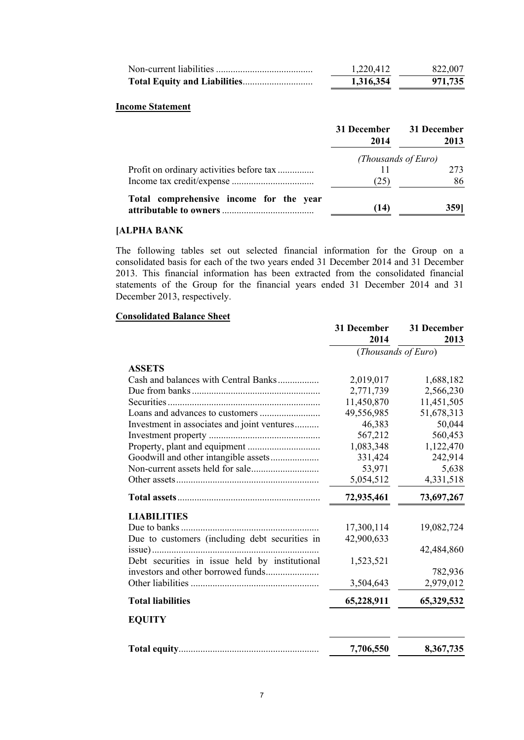| 1,220,412 | 822,007 |
|-----------|---------|
| 1,316,354 | 971,735 |

#### **Income Statement**

|                                         | 31 December<br>2014 | 31 December<br>2013 |
|-----------------------------------------|---------------------|---------------------|
|                                         | (Thousands of Euro) |                     |
|                                         |                     | 273                 |
|                                         | (25)                | 86                  |
| Total comprehensive income for the year | (14)                | 3591                |

# **[ALPHA BANK**

The following tables set out selected financial information for the Group on a consolidated basis for each of the two years ended 31 December 2014 and 31 December 2013. This financial information has been extracted from the consolidated financial statements of the Group for the financial years ended 31 December 2014 and 31 December 2013, respectively.

# **Consolidated Balance Sheet**

|                                                | 31 December<br>2014 | 31 December<br>2013 |
|------------------------------------------------|---------------------|---------------------|
|                                                | (Thousands of Euro) |                     |
| <b>ASSETS</b>                                  |                     |                     |
| Cash and balances with Central Banks           | 2,019,017           | 1,688,182           |
|                                                | 2,771,739           | 2,566,230           |
|                                                | 11,450,870          | 11,451,505          |
|                                                | 49,556,985          | 51,678,313          |
| Investment in associates and joint ventures    | 46,383              | 50,044              |
|                                                | 567,212             | 560,453             |
|                                                | 1,083,348           | 1,122,470           |
|                                                | 331,424             | 242,914             |
|                                                | 53,971              | 5,638               |
|                                                | 5,054,512           | 4,331,518           |
|                                                | 72,935,461          | 73,697,267          |
| <b>LIABILITIES</b>                             |                     |                     |
|                                                | 17,300,114          | 19,082,724          |
| Due to customers (including debt securities in | 42,900,633          |                     |
|                                                |                     | 42,484,860          |
| Debt securities in issue held by institutional | 1,523,521           |                     |
|                                                |                     | 782,936             |
|                                                | 3,504,643           | 2,979,012           |
| <b>Total liabilities</b>                       | 65,228,911          | 65,329,532          |
| <b>EQUITY</b>                                  |                     |                     |
|                                                | 7,706,550           | 8,367,735           |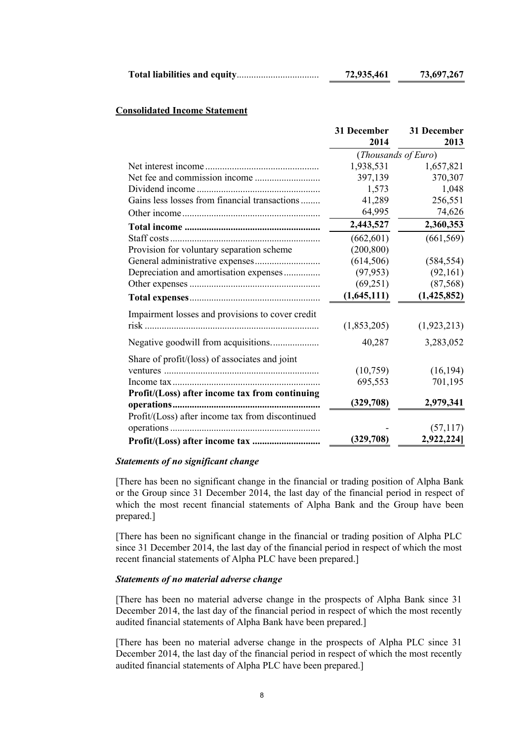|  | 72,935,461 | 73,697,267 |
|--|------------|------------|
|--|------------|------------|

#### **Consolidated Income Statement**

|                                                                                                               | 31 December<br>2014 | 31 December<br>2013 |
|---------------------------------------------------------------------------------------------------------------|---------------------|---------------------|
|                                                                                                               | (Thousands of Euro) |                     |
|                                                                                                               | 1,938,531           | 1,657,821           |
|                                                                                                               | 397,139             | 370,307             |
|                                                                                                               | 1,573               | 1,048               |
| Gains less losses from financial transactions                                                                 | 41,289              | 256,551             |
|                                                                                                               | 64,995              | 74,626              |
|                                                                                                               | 2,443,527           | 2,360,353           |
|                                                                                                               | (662, 601)          | (661, 569)          |
| Provision for voluntary separation scheme                                                                     | (200, 800)          |                     |
|                                                                                                               | (614, 506)          | (584, 554)          |
| Depreciation and amortisation expenses                                                                        | (97, 953)           | (92,161)            |
|                                                                                                               | (69,251)            | (87, 568)           |
|                                                                                                               | (1,645,111)         | (1,425,852)         |
| Impairment losses and provisions to cover credit                                                              |                     |                     |
| risk til andre større en delta andre større en delta andre større en delta andre større en delta andre større | (1,853,205)         | (1, 923, 213)       |
| Negative goodwill from acquisitions                                                                           | 40,287              | 3,283,052           |
| Share of profit/(loss) of associates and joint                                                                |                     |                     |
|                                                                                                               | (10,759)            | (16, 194)           |
|                                                                                                               | 695,553             | 701,195             |
| Profit/(Loss) after income tax from continuing                                                                | (329,708)           | 2,979,341           |
| Profit/(Loss) after income tax from discontinued                                                              |                     |                     |
|                                                                                                               |                     | (57, 117)           |
|                                                                                                               | (329,708)           | 2,922,224]          |

#### *Statements of no significant change*

[There has been no significant change in the financial or trading position of Alpha Bank or the Group since 31 December 2014, the last day of the financial period in respect of which the most recent financial statements of Alpha Bank and the Group have been prepared.]

[There has been no significant change in the financial or trading position of Alpha PLC since 31 December 2014, the last day of the financial period in respect of which the most recent financial statements of Alpha PLC have been prepared.]

#### *Statements of no material adverse change*

[There has been no material adverse change in the prospects of Alpha Bank since 31 December 2014, the last day of the financial period in respect of which the most recently audited financial statements of Alpha Bank have been prepared.]

[There has been no material adverse change in the prospects of Alpha PLC since 31 December 2014, the last day of the financial period in respect of which the most recently audited financial statements of Alpha PLC have been prepared.]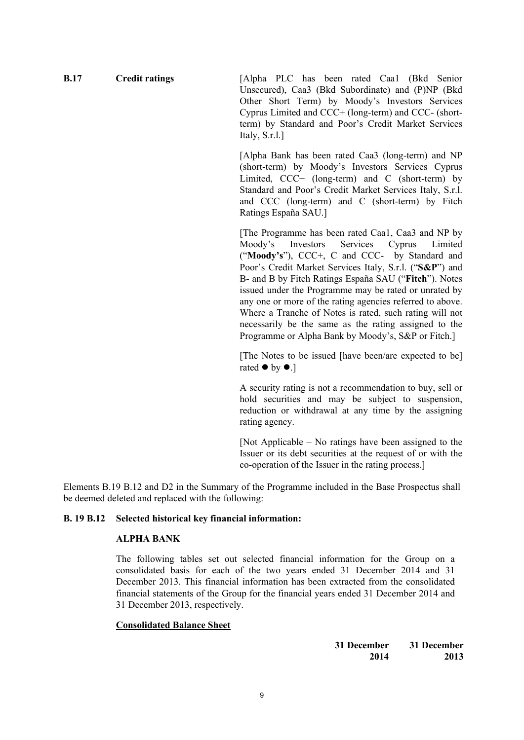**B.17 Credit ratings** [Alpha PLC has been rated Caa1 (Bkd Senior Unsecured), Caa3 (Bkd Subordinate) and (P)NP (Bkd Other Short Term) by Moody's Investors Services Cyprus Limited and CCC+ (long-term) and CCC- (shortterm) by Standard and Poor's Credit Market Services Italy, S.r.l.]

> [Alpha Bank has been rated Caa3 (long-term) and NP (short-term) by Moody's Investors Services Cyprus Limited, CCC+ (long-term) and C (short-term) by Standard and Poor's Credit Market Services Italy, S.r.l. and CCC (long-term) and C (short-term) by Fitch Ratings España SAU.]

> [The Programme has been rated Caa1, Caa3 and NP by Moody's Investors Services Cyprus Limited ("**Moody's**"), CCC+, C and CCC- by Standard and Poor's Credit Market Services Italy, S.r.l. ("**S&P**") and B- and B by Fitch Ratings España SAU ("**Fitch**"). Notes issued under the Programme may be rated or unrated by any one or more of the rating agencies referred to above. Where a Tranche of Notes is rated, such rating will not necessarily be the same as the rating assigned to the Programme or Alpha Bank by Moody's, S&P or Fitch.]

> [The Notes to be issued [have been/are expected to be] rated  $\bullet$  by  $\bullet$ .]

> A security rating is not a recommendation to buy, sell or hold securities and may be subject to suspension, reduction or withdrawal at any time by the assigning rating agency.

> [Not Applicable – No ratings have been assigned to the Issuer or its debt securities at the request of or with the co-operation of the Issuer in the rating process.]

Elements B.19 B.12 and D2 in the Summary of the Programme included in the Base Prospectus shall be deemed deleted and replaced with the following:

# **B. 19 B.12 Selected historical key financial information:**

# **ALPHA BANK**

The following tables set out selected financial information for the Group on a consolidated basis for each of the two years ended 31 December 2014 and 31 December 2013. This financial information has been extracted from the consolidated financial statements of the Group for the financial years ended 31 December 2014 and 31 December 2013, respectively.

# **Consolidated Balance Sheet**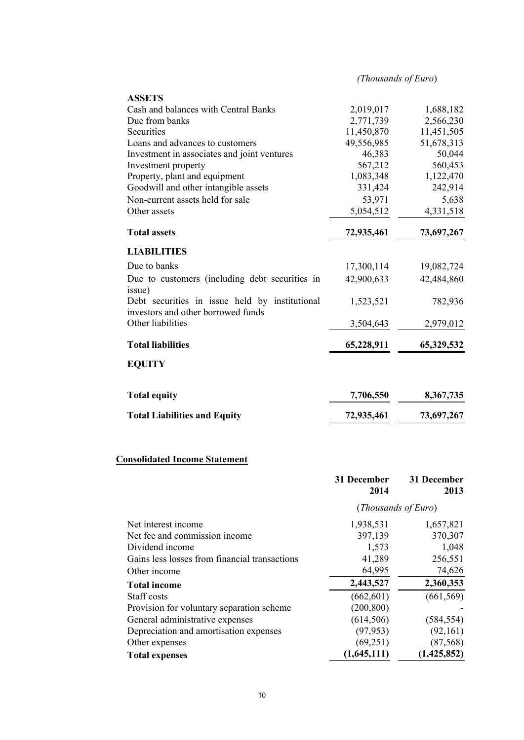| (Thousands of Euro) |  |
|---------------------|--|
|---------------------|--|

| <b>Total assets</b>                                                                  | 72,935,461 | 73,697,267 |
|--------------------------------------------------------------------------------------|------------|------------|
| <b>LIABILITIES</b>                                                                   |            |            |
| Due to banks                                                                         | 17,300,114 | 19,082,724 |
| Due to customers (including debt securities in<br>issue)                             | 42,900,633 | 42,484,860 |
| Debt securities in issue held by institutional<br>investors and other borrowed funds | 1,523,521  | 782,936    |
|                                                                                      |            | 2,979,012  |
| Other liabilities                                                                    | 3,504,643  |            |

| <b>Total equity</b>                 | 7,706,550  | 8,367,735  |
|-------------------------------------|------------|------------|
| <b>Total Liabilities and Equity</b> | 72,935,461 | 73,697,267 |

# **Consolidated Income Statement**

|                                               | 31 December<br>2014 | 31 December<br>2013 |
|-----------------------------------------------|---------------------|---------------------|
|                                               | (Thousands of Euro) |                     |
| Net interest income                           | 1,938,531           | 1,657,821           |
| Net fee and commission income                 | 397,139             | 370,307             |
| Dividend income                               | 1,573               | 1,048               |
| Gains less losses from financial transactions | 41,289              | 256,551             |
| Other income                                  | 64,995              | 74,626              |
| <b>Total income</b>                           | 2,443,527           | 2,360,353           |
| Staff costs                                   | (662, 601)          | (661, 569)          |
| Provision for voluntary separation scheme     | (200, 800)          |                     |
| General administrative expenses               | (614, 506)          | (584, 554)          |
| Depreciation and amortisation expenses        | (97, 953)           | (92,161)            |
| Other expenses                                | (69,251)            | (87, 568)           |
| <b>Total expenses</b>                         | (1,645,111)         | (1,425,852)         |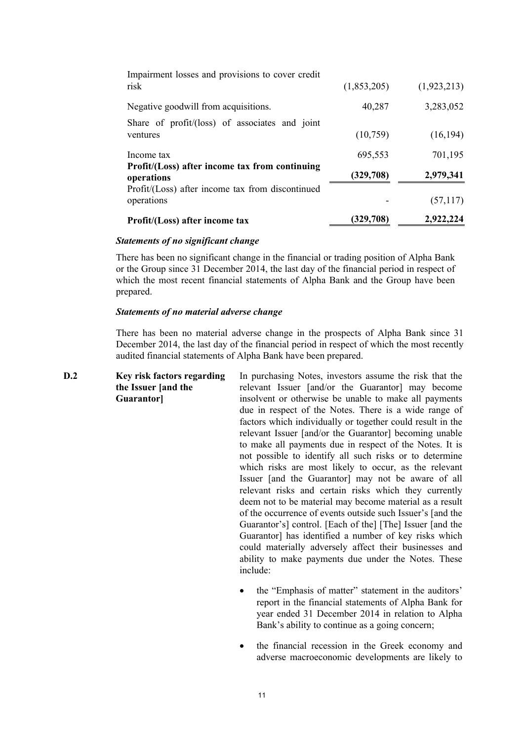| Profit/(Loss) after income tax                                 | (329,708)   | 2,922,224   |
|----------------------------------------------------------------|-------------|-------------|
| Profit/(Loss) after income tax from discontinued<br>operations |             | (57, 117)   |
|                                                                |             |             |
| Profit/(Loss) after income tax from continuing<br>operations   | (329,708)   | 2,979,341   |
| Income tax                                                     | 695,553     | 701,195     |
| Share of $profit/(loss)$ of associates and joint<br>ventures   | (10,759)    | (16, 194)   |
| Negative goodwill from acquisitions.                           | 40,287      | 3,283,052   |
| Impairment losses and provisions to cover credit<br>risk       | (1,853,205) | (1,923,213) |

#### *Statements of no significant change*

There has been no significant change in the financial or trading position of Alpha Bank or the Group since 31 December 2014, the last day of the financial period in respect of which the most recent financial statements of Alpha Bank and the Group have been prepared.

#### *Statements of no material adverse change*

There has been no material adverse change in the prospects of Alpha Bank since 31 December 2014, the last day of the financial period in respect of which the most recently audited financial statements of Alpha Bank have been prepared.

| D.2 | Key risk factors regarding | In purchasing Notes, investors assume the risk that the    |
|-----|----------------------------|------------------------------------------------------------|
|     | the Issuer [and the        | relevant Issuer [and/or the Guarantor] may become          |
|     | Guarantor]                 | insolvent or otherwise be unable to make all payments      |
|     |                            | due in respect of the Notes. There is a wide range of      |
|     |                            | factors which individually or together could result in the |
|     |                            | relevant Issuer [and/or the Guarantor] becoming unable     |
|     |                            | to make all payments due in respect of the Notes. It is    |
|     |                            | not possible to identify all such risks or to determine    |
|     |                            | which risks are most likely to occur, as the relevant      |
|     |                            | Issuer [and the Guarantor] may not be aware of all         |
|     |                            | relevant risks and certain risks which they currently      |
|     |                            | deem not to be material may become material as a result    |
|     |                            | of the occurrence of events outside such Issuer's [and the |
|     |                            | Guarantor's] control. [Each of the] [The] Issuer [and the  |
|     |                            | Guarantor] has identified a number of key risks which      |
|     |                            | could materially adversely affect their businesses and     |
|     |                            | ability to make payments due under the Notes. These        |
|     |                            | include:                                                   |
|     |                            | the "Emphasis of matter" statement in the auditors'        |

- the "Emphasis of matter" statement in the auditors' report in the financial statements of Alpha Bank for year ended 31 December 2014 in relation to Alpha Bank's ability to continue as a going concern;
- the financial recession in the Greek economy and adverse macroeconomic developments are likely to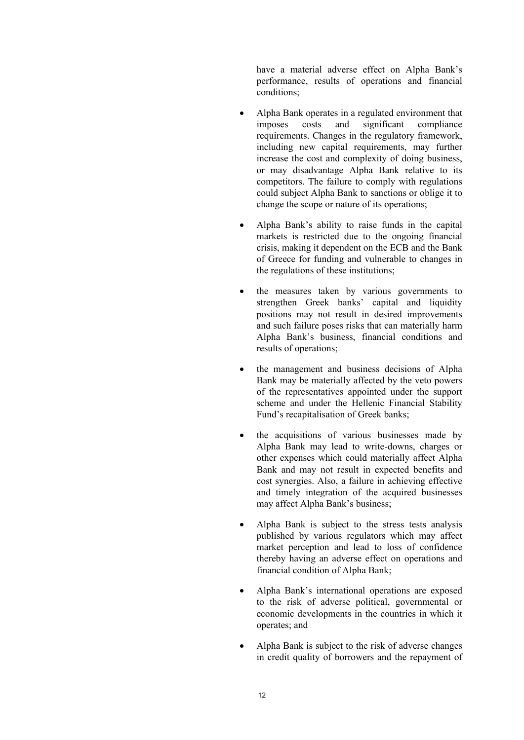have a material adverse effect on Alpha Bank's performance, results of operations and financial conditions;

- Alpha Bank operates in a regulated environment that imposes costs and significant compliance requirements. Changes in the regulatory framework, including new capital requirements, may further increase the cost and complexity of doing business, or may disadvantage Alpha Bank relative to its competitors. The failure to comply with regulations could subject Alpha Bank to sanctions or oblige it to change the scope or nature of its operations;
- Alpha Bank's ability to raise funds in the capital markets is restricted due to the ongoing financial crisis, making it dependent on the ECB and the Bank of Greece for funding and vulnerable to changes in the regulations of these institutions;
- the measures taken by various governments to strengthen Greek banks' capital and liquidity positions may not result in desired improvements and such failure poses risks that can materially harm Alpha Bank's business, financial conditions and results of operations;
- the management and business decisions of Alpha Bank may be materially affected by the veto powers of the representatives appointed under the support scheme and under the Hellenic Financial Stability Fund's recapitalisation of Greek banks;
- the acquisitions of various businesses made by Alpha Bank may lead to write-downs, charges or other expenses which could materially affect Alpha Bank and may not result in expected benefits and cost synergies. Also, a failure in achieving effective and timely integration of the acquired businesses may affect Alpha Bank's business;
- Alpha Bank is subject to the stress tests analysis published by various regulators which may affect market perception and lead to loss of confidence thereby having an adverse effect on operations and financial condition of Alpha Bank;
- Alpha Bank's international operations are exposed to the risk of adverse political, governmental or economic developments in the countries in which it operates; and
- Alpha Bank is subject to the risk of adverse changes in credit quality of borrowers and the repayment of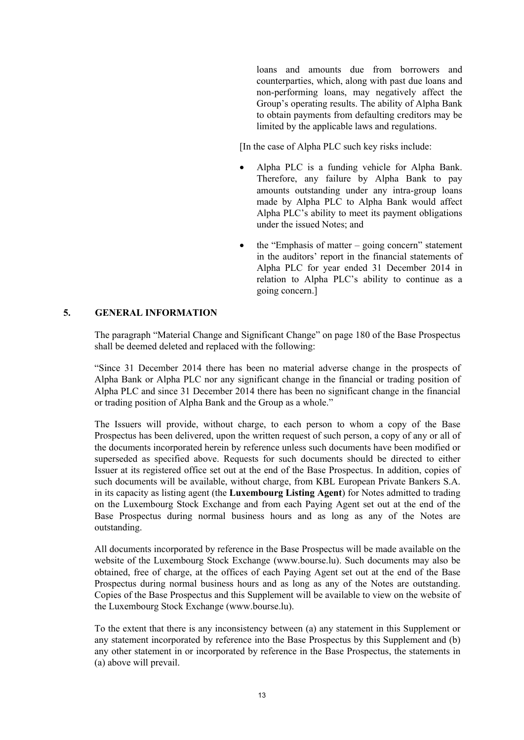loans and amounts due from borrowers and counterparties, which, along with past due loans and non-performing loans, may negatively affect the Group's operating results. The ability of Alpha Bank to obtain payments from defaulting creditors may be limited by the applicable laws and regulations.

[In the case of Alpha PLC such key risks include:

- Alpha PLC is a funding vehicle for Alpha Bank. Therefore, any failure by Alpha Bank to pay amounts outstanding under any intra-group loans made by Alpha PLC to Alpha Bank would affect Alpha PLC's ability to meet its payment obligations under the issued Notes; and
- the "Emphasis of matter going concern" statement in the auditors' report in the financial statements of Alpha PLC for year ended 31 December 2014 in relation to Alpha PLC's ability to continue as a going concern.]

# **5. GENERAL INFORMATION**

The paragraph "Material Change and Significant Change" on page 180 of the Base Prospectus shall be deemed deleted and replaced with the following:

"Since 31 December 2014 there has been no material adverse change in the prospects of Alpha Bank or Alpha PLC nor any significant change in the financial or trading position of Alpha PLC and since 31 December 2014 there has been no significant change in the financial or trading position of Alpha Bank and the Group as a whole."

The Issuers will provide, without charge, to each person to whom a copy of the Base Prospectus has been delivered, upon the written request of such person, a copy of any or all of the documents incorporated herein by reference unless such documents have been modified or superseded as specified above. Requests for such documents should be directed to either Issuer at its registered office set out at the end of the Base Prospectus. In addition, copies of such documents will be available, without charge, from KBL European Private Bankers S.A. in its capacity as listing agent (the **Luxembourg Listing Agent**) for Notes admitted to trading on the Luxembourg Stock Exchange and from each Paying Agent set out at the end of the Base Prospectus during normal business hours and as long as any of the Notes are outstanding.

All documents incorporated by reference in the Base Prospectus will be made available on the website of the Luxembourg Stock Exchange (www.bourse.lu). Such documents may also be obtained, free of charge, at the offices of each Paying Agent set out at the end of the Base Prospectus during normal business hours and as long as any of the Notes are outstanding. Copies of the Base Prospectus and this Supplement will be available to view on the website of the Luxembourg Stock Exchange (www.bourse.lu).

To the extent that there is any inconsistency between (a) any statement in this Supplement or any statement incorporated by reference into the Base Prospectus by this Supplement and (b) any other statement in or incorporated by reference in the Base Prospectus, the statements in (a) above will prevail.